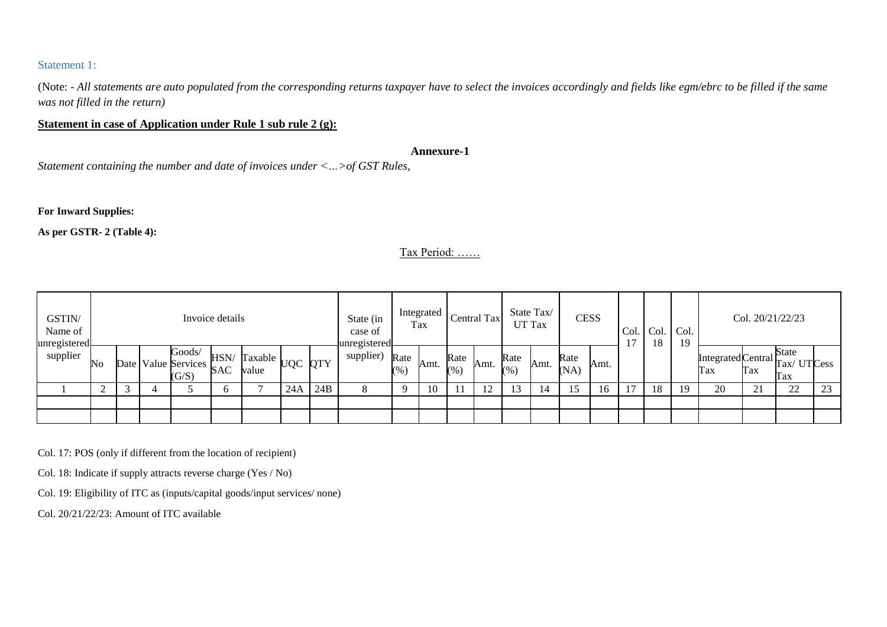## Statement 1:

(Note: - *All statements are auto populated from the corresponding returns taxpayer have to select the invoices accordingly and fields like egm/ebrc to be filled if the same was not filled in the return)*

## **Statement in case of Application under Rule 1 sub rule 2 (g):**

### **Annexure-1**

*Statement containing the number and date of invoices under <…>of GST Rules,*

### **For Inward Supplies:**

**As per GSTR- 2 (Table 4):**

## Tax Period: ……

| GSTIN/<br>Name of<br>unregistered |        |   |                                        | Invoice details    |                                                           |     |     | State (in<br>case of<br>-unregistered |                | Integrated<br>Tax |                 | <b>Central Tax</b> |             | State Tax/<br>UT Tax | <b>CESS</b>  |      | Col. | Col. Col.<br>18 | 19 |                                      | Col. 20/21/22/23  |              |    |
|-----------------------------------|--------|---|----------------------------------------|--------------------|-----------------------------------------------------------|-----|-----|---------------------------------------|----------------|-------------------|-----------------|--------------------|-------------|----------------------|--------------|------|------|-----------------|----|--------------------------------------|-------------------|--------------|----|
| supplier                          | No     |   | Goods/<br>Date Value Services<br>(G/S) | HSN/<br><b>SAC</b> | $\therefore$ ۰۰۱۷/ Taxable $\bigcup_{UQC} QTY$ 1<br>value |     |     | supplier)                             | Rate<br>$(\%)$ | Amt.              | Rate<br>$(\% )$ | Amt.               | Rate<br>(%) | Amt.                 | Rate<br>(NA) | Amt. |      |                 |    | [IntegratedCentral Tax/UTCess<br>Tax | Tax               | State<br>Tax |    |
|                                   | $\sim$ | 3 |                                        | n                  |                                                           | 24A | 24B | 8                                     | $\Omega$       | 10                | 11              | 12                 |             | 14                   | 15           | 16   |      | 18              | 19 | 20                                   | $^{\sim}$ 1<br>41 | 22           | 23 |
|                                   |        |   |                                        |                    |                                                           |     |     |                                       |                |                   |                 |                    |             |                      |              |      |      |                 |    |                                      |                   |              |    |
|                                   |        |   |                                        |                    |                                                           |     |     |                                       |                |                   |                 |                    |             |                      |              |      |      |                 |    |                                      |                   |              |    |

Col. 17: POS (only if different from the location of recipient)

Col. 18: Indicate if supply attracts reverse charge (Yes / No)

Col. 19: Eligibility of ITC as (inputs/capital goods/input services/ none)

Col. 20/21/22/23: Amount of ITC available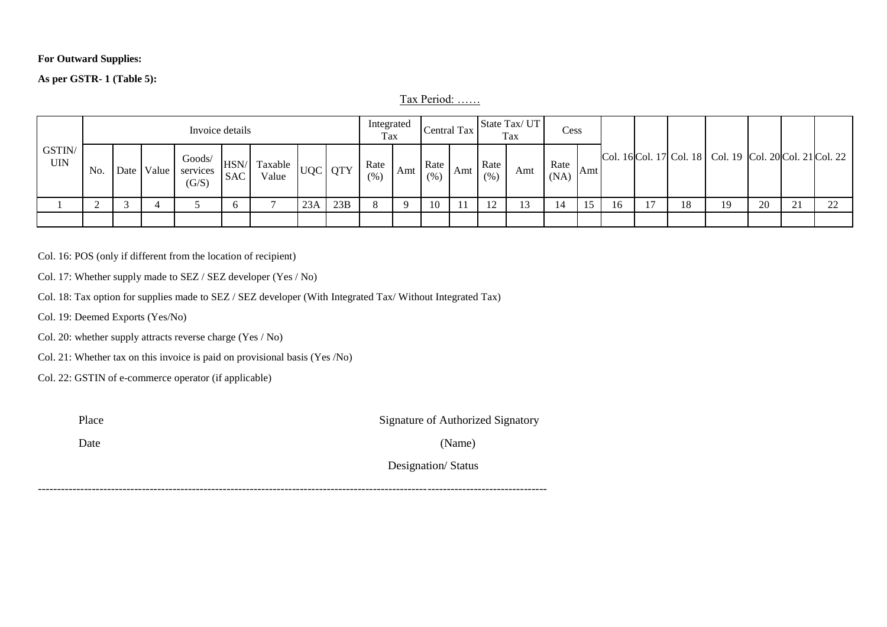### **For Outward Supplies:**

## **As per GSTR- 1 (Table 5):**

Tax Period: ……

|                      |     |      |       | Invoice details             |            |                                    |     |     | Integrated<br>Tax |     | Central Tax  |     |              | State Tax/UT<br>Tax | Cess         |     |    |    |    |                                                             |    |              |        |
|----------------------|-----|------|-------|-----------------------------|------------|------------------------------------|-----|-----|-------------------|-----|--------------|-----|--------------|---------------------|--------------|-----|----|----|----|-------------------------------------------------------------|----|--------------|--------|
| GSTIN/<br><b>UIN</b> | No. | Date | Value | Goods/<br>services<br>(G/S) | <b>SAC</b> | IVA Taxable   UQC   QTY 1<br>Value |     |     | Rate<br>(% )      | Amt | Rate<br>(% ) | Amt | Rate<br>(% ) | Amt                 | Rate<br>(NA) | Amt |    |    |    | Col. 16 Col. 17 Col. 18   Col. 19   Col. 20 Col. 21 Col. 22 |    |              |        |
|                      |     |      |       |                             |            |                                    | 23A | 23B |                   |     | 10           |     |              |                     | 14           |     | 16 | 17 | 18 | 19                                                          | 20 | $\sim$<br>∠. | $\cap$ |
|                      |     |      |       |                             |            |                                    |     |     |                   |     |              |     |              |                     |              |     |    |    |    |                                                             |    |              |        |

Col. 16: POS (only if different from the location of recipient)

Col. 17: Whether supply made to SEZ / SEZ developer (Yes / No)

Col. 18: Tax option for supplies made to SEZ / SEZ developer (With Integrated Tax/ Without Integrated Tax)

Col. 19: Deemed Exports (Yes/No)

Col. 20: whether supply attracts reverse charge (Yes / No)

Col. 21: Whether tax on this invoice is paid on provisional basis (Yes /No)

Col. 22: GSTIN of e-commerce operator (if applicable)

| Place | Signature of Authorized Signatory |
|-------|-----------------------------------|
| Date  | (Name)                            |
|       | Designation/Status                |
|       |                                   |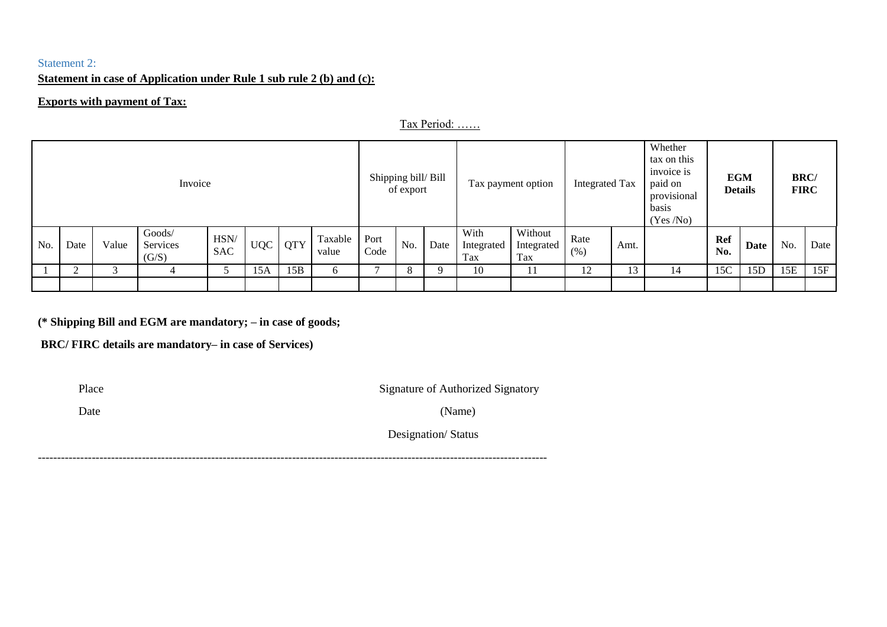# Statement 2:

# **Statement in case of Application under Rule 1 sub rule 2 (b) and (c):**

### **Exports with payment of Tax:**

Tax Period: ……

|     |      |       | Invoice                     |                    |            |            |                  | Shipping bill/Bill | of export |      |                           | Tax payment option           | Integrated Tax |               | Whether<br>tax on this<br>invoice is<br>paid on<br>provisional<br>basis<br>(Yes/No) | <b>EGM</b>        | <b>Details</b> | <b>BRC</b> /<br><b>FIRC</b> |      |
|-----|------|-------|-----------------------------|--------------------|------------|------------|------------------|--------------------|-----------|------|---------------------------|------------------------------|----------------|---------------|-------------------------------------------------------------------------------------|-------------------|----------------|-----------------------------|------|
| No. | Date | Value | Goods/<br>Services<br>(G/S) | HSN/<br><b>SAC</b> | <b>UQC</b> | <b>QTY</b> | Taxable<br>value | Port<br>Code       | No.       | Date | With<br>Integrated<br>Tax | Without<br>Integrated<br>Tax | Rate<br>(% )   | Amt.          |                                                                                     | <b>Ref</b><br>No. | Date           | No.                         | Date |
|     |      |       |                             |                    | 15A        | 15B        | 6                |                    | 8         |      | 10                        | 11                           | 12             | $\mathbf{13}$ | 14                                                                                  | 15C               | 15D            | 15E                         | 15F  |
|     |      |       |                             |                    |            |            |                  |                    |           |      |                           |                              |                |               |                                                                                     |                   |                |                             |      |

**(\* Shipping Bill and EGM are mandatory; – in case of goods;**

------------------------------------------------------------------------------------------------------------------------------------

**BRC/ FIRC details are mandatory– in case of Services)** 

Place Signature of Authorized Signatory

Date (Name)

Designation/ Status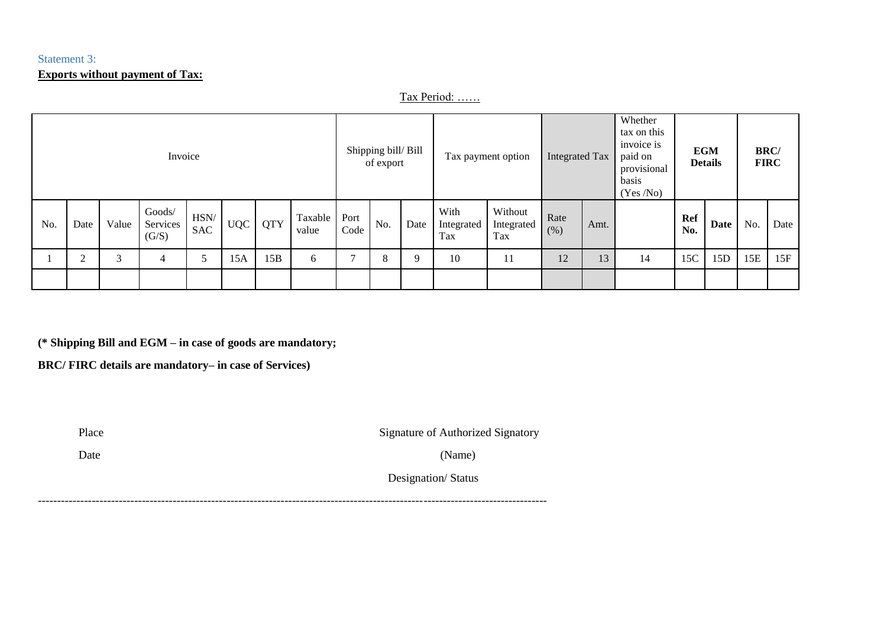# Statement 3: **Exports without payment of Tax:**

Tax Period: ……

|     |        |       | Invoice                     |                    |            |            |                  |              | Shipping bill/Bill<br>of export |      |                           | Tax payment option           | <b>Integrated Tax</b> |      | Whether<br>tax on this<br>invoice is<br>paid on<br>provisional<br>basis<br>(Yes/No) |            | <b>EGM</b><br><b>Details</b> |     | <b>BRC</b> /<br><b>FIRC</b> |
|-----|--------|-------|-----------------------------|--------------------|------------|------------|------------------|--------------|---------------------------------|------|---------------------------|------------------------------|-----------------------|------|-------------------------------------------------------------------------------------|------------|------------------------------|-----|-----------------------------|
| No. | Date   | Value | Goods/<br>Services<br>(G/S) | HSN/<br><b>SAC</b> | <b>UQC</b> | <b>QTY</b> | Taxable<br>value | Port<br>Code | No.                             | Date | With<br>Integrated<br>Tax | Without<br>Integrated<br>Tax | Rate<br>(% )          | Amt. |                                                                                     | Ref<br>No. | Date                         | No. | Date                        |
|     | $\sim$ | 3     |                             |                    | 15A        | 15B        | 6                |              | 8                               | Q    | 10                        | 11                           | 12                    | 13   | 14                                                                                  | 15C        | 15D                          | 15E | 15F                         |
|     |        |       |                             |                    |            |            |                  |              |                                 |      |                           |                              |                       |      |                                                                                     |            |                              |     |                             |

**(\* Shipping Bill and EGM – in case of goods are mandatory;**

**BRC/ FIRC details are mandatory– in case of Services)** 

Place Signature of Authorized Signatory

Date (Name)

Designation/ Status

------------------------------------------------------------------------------------------------------------------------------------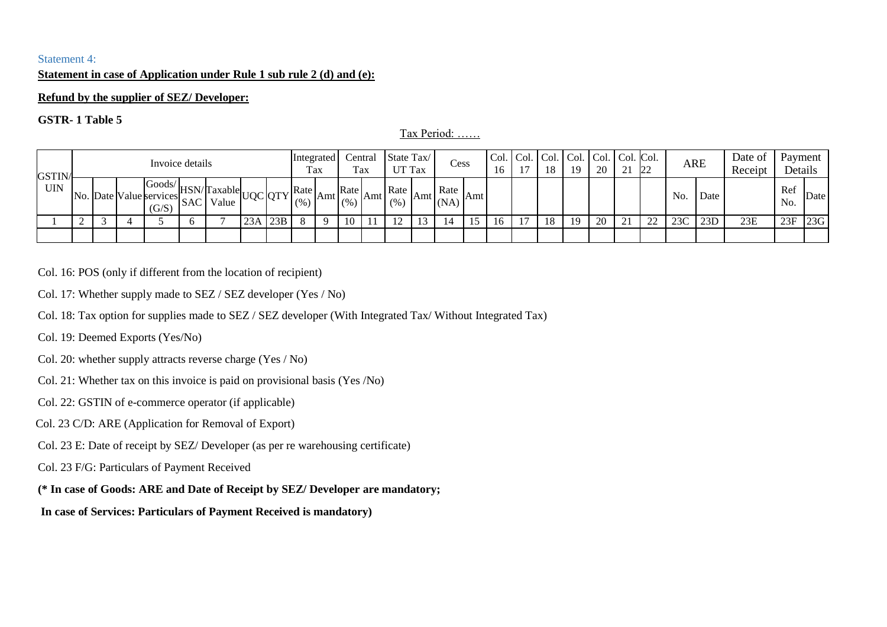### Statement 4:

### **Statement in case of Application under Rule 1 sub rule 2 (d) and (e):**

#### **Refund by the supplier of SEZ/ Developer:**

### **GSTR- 1 Table 5**

#### Tax Period: ……

| GSTIN/     |  | Invoice details                                                        |            |       |         |     | Integrated   | Tax   | Tax        | Central | State Tax/<br>UT Tax | Cess                                       |     | Col. Col.<br>16 | Col.<br>18 | Col.   Col.   Col.   Col.<br>1 Q | 20 | $\bigcap$ 1<br>∠ ⊥ | 22 |     | ARE  | Date of<br>Receipt | Payment<br>Details |      |
|------------|--|------------------------------------------------------------------------|------------|-------|---------|-----|--------------|-------|------------|---------|----------------------|--------------------------------------------|-----|-----------------|------------|----------------------------------|----|--------------------|----|-----|------|--------------------|--------------------|------|
| <b>UIN</b> |  | $\log \frac{ Goods }{HSN}$ Taxable<br>No. Date Value services<br>(G/S) | <b>SAC</b> | Value | UQC QTY |     | Rate<br>(% ) | Amt l | Rate<br>(% | Amt     | Rate<br>(% )         | Rate<br>$\left  \text{Amt} \right _{(NA)}$ | Amt |                 |            |                                  |    |                    |    | No. | Date |                    | Ref<br>No.         | Date |
|            |  |                                                                        |            |       | 23A     | 23B |              |       | 10         |         |                      | 14                                         | 15  | 16              | 18         | 19                               | 20 | 21                 | 22 | 23C | 23D  | 23E                | 23F                | 23G  |
|            |  |                                                                        |            |       |         |     |              |       |            |         |                      |                                            |     |                 |            |                                  |    |                    |    |     |      |                    |                    |      |

Col. 16: POS (only if different from the location of recipient)

- Col. 17: Whether supply made to SEZ / SEZ developer (Yes / No)
- Col. 18: Tax option for supplies made to SEZ / SEZ developer (With Integrated Tax/ Without Integrated Tax)
- Col. 19: Deemed Exports (Yes/No)
- Col. 20: whether supply attracts reverse charge (Yes / No)
- Col. 21: Whether tax on this invoice is paid on provisional basis (Yes /No)
- Col. 22: GSTIN of e-commerce operator (if applicable)
- Col. 23 C/D: ARE (Application for Removal of Export)
- Col. 23 E: Date of receipt by SEZ/ Developer (as per re warehousing certificate)
- Col. 23 F/G: Particulars of Payment Received
- **(\* In case of Goods: ARE and Date of Receipt by SEZ/ Developer are mandatory;**

### **In case of Services: Particulars of Payment Received is mandatory)**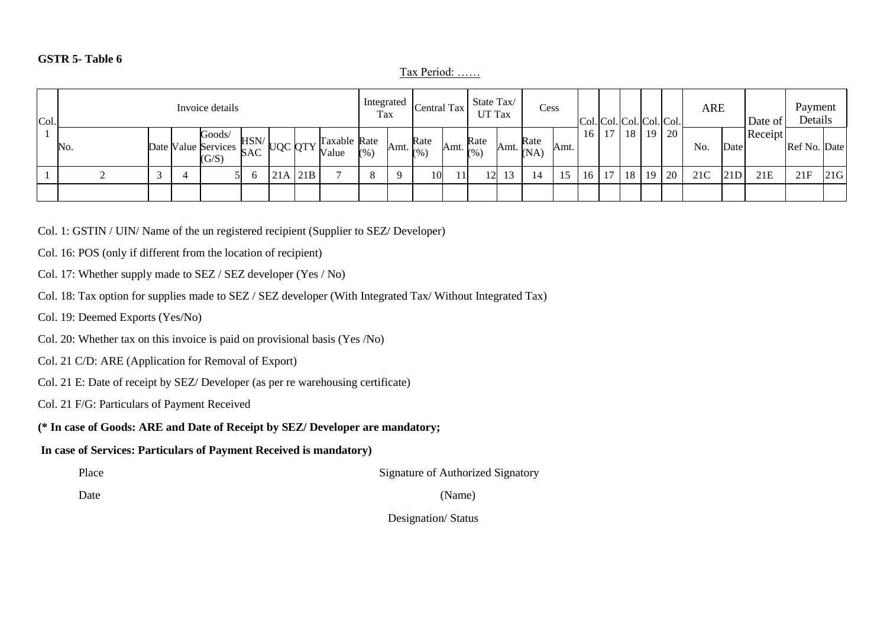### **GSTR 5- Table 6**

Tax Period: ……

| Col. |     |  | Invoice details                                          |      |         |     |                       | Integrated<br>Tax |      | Central Tax  |     | State Tax/<br>UT Tax                     | Cess                             |      |              |            |    |     | Col. Col. Col. Col. Col. | ARE |      | Date of | Payment<br>Details |     |
|------|-----|--|----------------------------------------------------------|------|---------|-----|-----------------------|-------------------|------|--------------|-----|------------------------------------------|----------------------------------|------|--------------|------------|----|-----|--------------------------|-----|------|---------|--------------------|-----|
|      | No. |  | Goods/<br>Date Value Services $SAC$ $\cup \cup$<br>(G/S) | HSN/ | UQC QTY |     | Taxable Rate<br>Value | (% )              | Amt. | Rate<br>(% ) |     | Rate<br>$\mathbb{R}$ Amt. $\mathbb{Q}_6$ | Rate<br>$\mathbb{R}$ Amt. $(NA)$ | Amt. |              | $16$ 17 18 |    | -19 | 120                      | No. | Date | Receipt | Ref No. Date       |     |
|      |     |  |                                                          |      | 21A     | 21B |                       |                   |      | 10           | 11I | 12                                       | 14                               |      | $16 \mid 17$ |            | 18 | 19  | <sup>20</sup>            | 21C | 21D  | 21E     | 21F                | 21G |
|      |     |  |                                                          |      |         |     |                       |                   |      |              |     |                                          |                                  |      |              |            |    |     |                          |     |      |         |                    |     |

Col. 1: GSTIN / UIN/ Name of the un registered recipient (Supplier to SEZ/ Developer)

Col. 16: POS (only if different from the location of recipient)

Col. 17: Whether supply made to SEZ / SEZ developer (Yes / No)

- Col. 18: Tax option for supplies made to SEZ / SEZ developer (With Integrated Tax/ Without Integrated Tax)
- Col. 19: Deemed Exports (Yes/No)
- Col. 20: Whether tax on this invoice is paid on provisional basis (Yes /No)
- Col. 21 C/D: ARE (Application for Removal of Export)
- Col. 21 E: Date of receipt by SEZ/ Developer (as per re warehousing certificate)
- Col. 21 F/G: Particulars of Payment Received
- **(\* In case of Goods: ARE and Date of Receipt by SEZ/ Developer are mandatory;**

## **In case of Services: Particulars of Payment Received is mandatory)**

Place Signature of Authorized Signatory

Date (Name)

Designation/ Status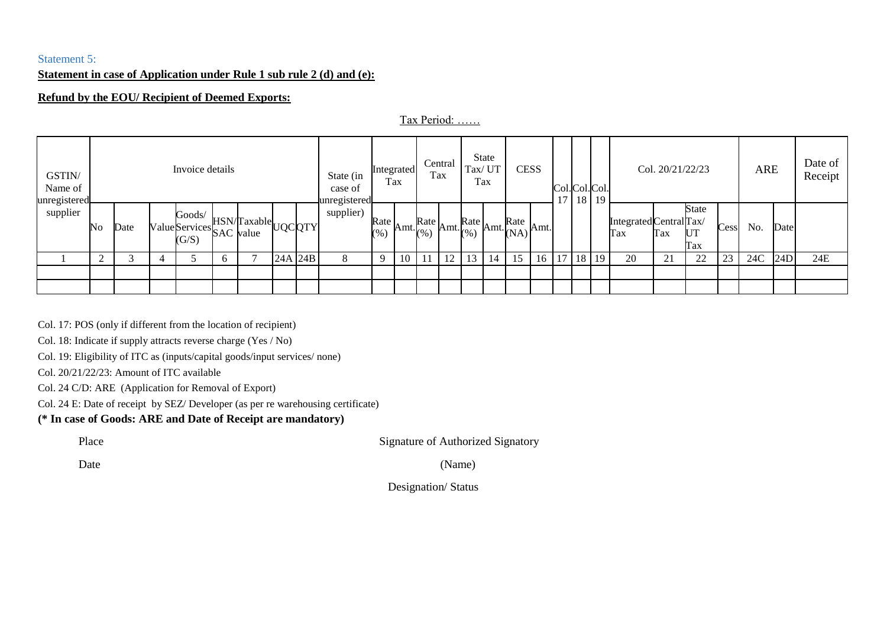## Statement 5:

## **Statement in case of Application under Rule 1 sub rule 2 (d) and (e):**

### **Refund by the EOU/ Recipient of Deemed Exports:**

Tax Period: ……

| GSTIN/<br>Name of<br>unregistered |                        |      | Invoice details                             |   |                                 |         | State (in<br>case of<br>lunregistered_ | Integrated<br>Tax |    | Tax               | Central                                 | Tax/UT<br>Tax | State | <b>CESS</b>                                             |    | 17 |    | Col.Col.Col.<br>$18$ 19 |                                | Col. 20/21/22/23 |                    |      | ARE |      | Date of<br>Receipt |
|-----------------------------------|------------------------|------|---------------------------------------------|---|---------------------------------|---------|----------------------------------------|-------------------|----|-------------------|-----------------------------------------|---------------|-------|---------------------------------------------------------|----|----|----|-------------------------|--------------------------------|------------------|--------------------|------|-----|------|--------------------|
| supplier                          | $\overline{\text{No}}$ | Date | Goods/<br>Value Services SAC value<br>(G/S) |   | HSN/Taxable <sub>UQC</sub> QTYl |         | supplier)                              | Rate<br>(% )      |    | $\text{Amt.}$ (%) | Rate $\lambda$ mt. $\left(\% \right)$ 1 |               |       | $\sim$ Amt. $Rate$ Amt. $\left \text{Kate}\right $ Amt. |    |    |    |                         | Integrated Central Tax/<br>Tax | Tax              | State<br>UT<br>Tax | Cess | No. | Date |                    |
|                                   | $\bigcap$              |      |                                             | 6 |                                 | 24A 24B | 8                                      | - q               | 10 |                   | 12                                      | 13            | 14    | 15                                                      | 16 | 17 | 18 | 19                      | 20                             | 21               | 22                 | 23   | 24C | 24D  | 24E                |
|                                   |                        |      |                                             |   |                                 |         |                                        |                   |    |                   |                                         |               |       |                                                         |    |    |    |                         |                                |                  |                    |      |     |      |                    |
|                                   |                        |      |                                             |   |                                 |         |                                        |                   |    |                   |                                         |               |       |                                                         |    |    |    |                         |                                |                  |                    |      |     |      |                    |

Col. 17: POS (only if different from the location of recipient)

Col. 18: Indicate if supply attracts reverse charge (Yes / No)

Col. 19: Eligibility of ITC as (inputs/capital goods/input services/ none)

Col. 20/21/22/23: Amount of ITC available

Col. 24 C/D: ARE (Application for Removal of Export)

Col. 24 E: Date of receipt by SEZ/ Developer (as per re warehousing certificate)

## **(\* In case of Goods: ARE and Date of Receipt are mandatory)**

Place Signature of Authorized Signatory

Date (Name)

Designation/ Status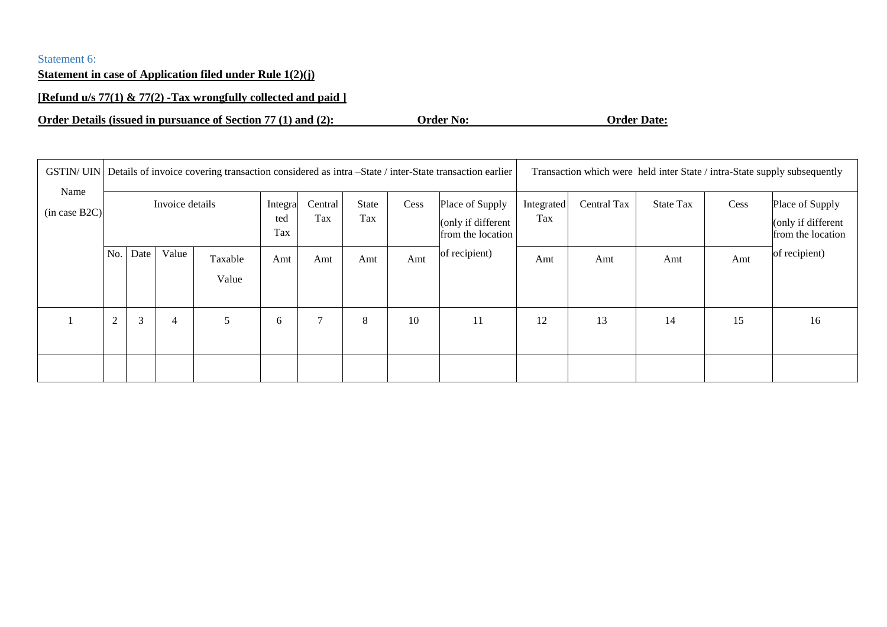# Statement 6:

# **Statement in case of Application filed under Rule 1(2)(j)**

## **[Refund u/s 77(1) & 77(2) -Tax wrongfully collected and paid ]**

**Order Details (issued in pursuance of Section 77 (1) and (2): Order No: Order Date:**

|                       |                |                                   |                 |   |                       |                |                     |      | GSTIN/ UIN   Details of invoice covering transaction considered as intra -State / inter-State transaction earlier |                   |             |                  |      | Transaction which were held inter State / intra-State supply subsequently |
|-----------------------|----------------|-----------------------------------|-----------------|---|-----------------------|----------------|---------------------|------|-------------------------------------------------------------------------------------------------------------------|-------------------|-------------|------------------|------|---------------------------------------------------------------------------|
| Name<br>(in case B2C) |                |                                   | Invoice details |   | Integra<br>ted<br>Tax | Central<br>Tax | <b>State</b><br>Tax | Cess | Place of Supply<br>(only if different<br>from the location                                                        | Integrated<br>Tax | Central Tax | <b>State Tax</b> | Cess | Place of Supply<br>(only if different<br>from the location                |
|                       | No.            | Value<br>Date<br>Taxable<br>Value |                 |   | Amt                   | Amt            | Amt                 | Amt  | of recipient)                                                                                                     | Amt               | Amt         | Amt              | Amt  | of recipient)                                                             |
|                       | $\overline{2}$ | 3                                 | 4               | 5 | 6                     | $\overline{ }$ | 8                   | 10   | 11                                                                                                                | 12                | 13          | 14               | 15   | 16                                                                        |
|                       |                |                                   |                 |   |                       |                |                     |      |                                                                                                                   |                   |             |                  |      |                                                                           |